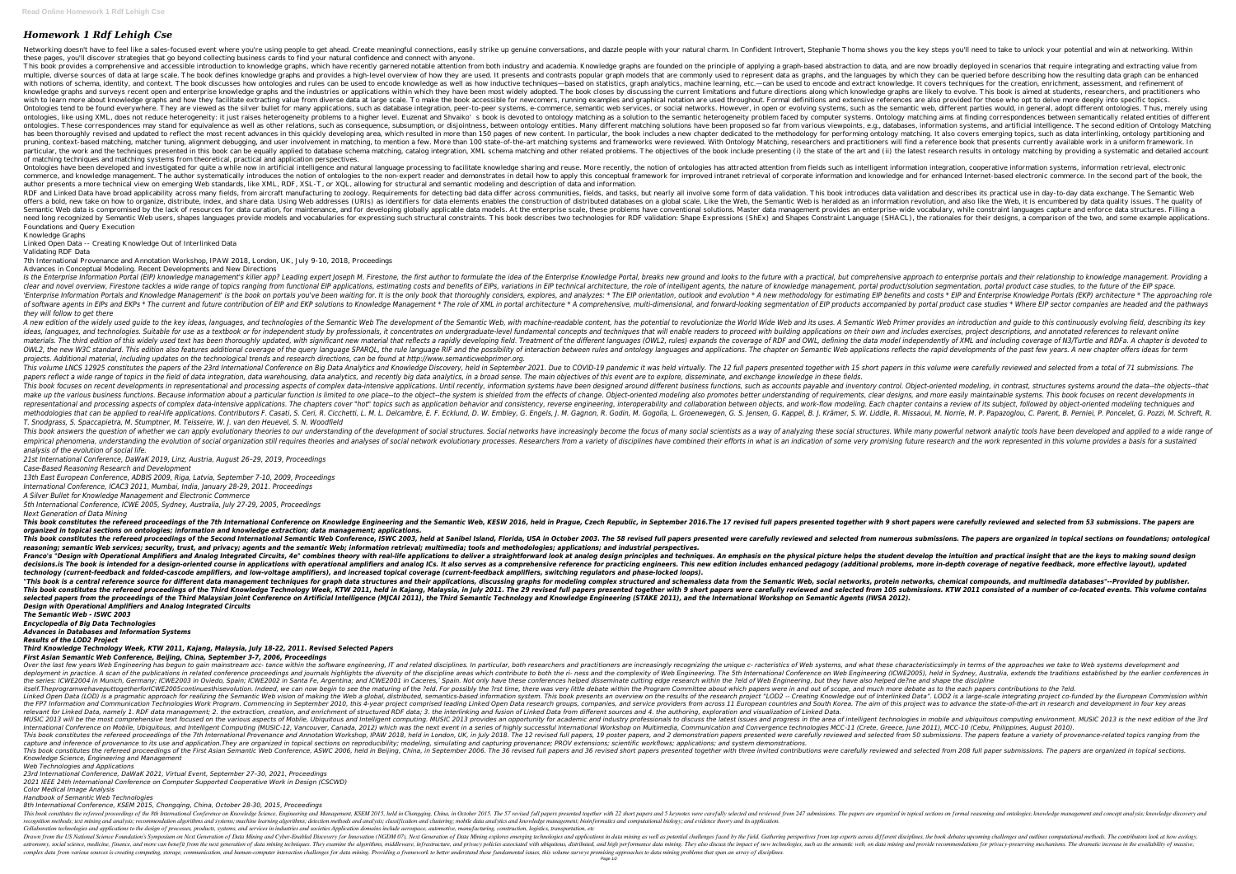## *Homework 1 Rdf Lehigh Cse*

Networking doesn't have to feel like a sales-focused event where you're using people to get ahead. Create meaningful connections, easily strike up genuine conversations, and dazzle people with your natural charm. In Confid these pages, you'll discover strategies that go beyond collecting business cards to find your natural confidence and connect with anyone. This book provides a comprehensive and accessible introduction to knowledge graphs, which have recently garnered notable attention from both industry and academia. Knowledge graphs are founded on the principle of applying multiple, diverse sources of data at large scale. The book defines knowledge graphs and provides a high-level overview of how they are used. It presents and contrasts popular graphs, and the languages by which they can be with notions of schema, identity, and context. The book discusses how ontologies and rules can be used to encode knowledge as well as how inductive techniques—based on statistics, graph analytics, machine learning, etc.—ca knowledge graphs and surveys recent open and enterprise knowledge graphs and the industries or applications within which they have been most widely adopted. The book closes by discussing the current limitations and future wish to learn more about knowledge graphs and how they facilitate extracting value from diverse data at large scale. To make the book accessible for newcomers, running examples and graphical notation are used throughout. F Ontologies tend to be found everywhere. They are viewed as the silver bullet for many applications, such as database integration, peer- to-peer systems, e-commerce, semantic web, different parties would, in general, adopt ontologies, like using XML, does not reduce heterogeneity: it just raises heterogeneity problems to a higher level. Euzenat and Shvaiko's book is devoted to ontology matching aims at finding correspondences between semanti ontologies. These correspondences may stand for equivalence as well as other relations, such as consequence, subsumption, or disjointness, between ontology entities. Many different matching solutions have been proposed so has been thoroughly revised and updated to reflect the most recent advances in this quickly developing area, which resulted in more than 150 pages of new content. In particular, the book includes a new chapter dedicated to pruning, context-based matching, matcher tuning, alignment debugging, and user involvement in matching, to mention a few. More than 100 state-of-the-art matching, researchers and practitioners will find a reference book th particular, the work and the techniques presented in this book can be equally applied to database schema matching, catalog integration, XML schema matching (i) the state of the art and (ii) the latest research results in o of matching techniques and matching systems from theoretical, practical and application perspectives.

Ontologies have been developed and investigated for quite a while now in artificial intelligence and natural language processing to facilitate knowledge sharing and reuse. More recently, the notion of ontologies has attrac commerce, and knowledge management. The author systematically introduces the notion of ontologies to the non-expert reader and demonstrates in detail how to apply this conceptual framework for improved intranet retrieval o author presents a more technical view on emerging Web standards, like XML, RDF, XSL-T, or XQL, allowing for structural and semantic modeling and description of data and information. RDF and Linked Data have broad applicability across many fields, from aircraft manufacturing to zoology. Requirements for detecting bad data differ across communities, fields, and tasks, but nearly all involve some form of offers a bold, new take on how to organize, distribute, index, and share data. Using Web addresses (URIs) as identifiers for data elements enables the construction of distributed databases on a global scale. Like the Web, Semantic Web data is compromised by the lack of resources for data curation, for maintenance, and for developing globally applicable data models. At the enterprise-wide vocabulary, while constraint languages capture and en need long recognized by Semantic Web users, shapes languages provide models and vocabularies for expressing such structural constraints. This book describes for RDF validation: Shape Expressions (ShEx) and Shapes Constrain Foundations and Query Execution

Is the Enterprise Information Portal (EIP) knowledge management's killer app? Leading expert Joseph M. Firestone, the first author to formulate the idea of the future with a practical, but comprehensive approach to enterpr clear and novel overview, Firestone tackles a wide range of topics ranging from functional EIP applications, estimating costs and benefits of EIPs, variations in EIP technical architecture, the nature of knowledge manageme 'Enterprise Information Portals and Knowledge Management' is the book on portals you've been waiting for. It is the only book that thoroughly considers, explores, and analyzes: \* The EIP orientation, outlook and evolution of software agents in EIPs and EKPs \* The current and future contribution of EIP and EKP solutions to Knowledge Management \* The role of XML in portal products accompanied by portal product case studies \* Where EIP sector *they will follow to get there*

A new edition of the widely used quide to the key ideas, languages, and technologies of the Semantic Web The development of the Semantic Web, with machine-readable content, has the potential to revolutionize the World Wide ideas, languages, and technologies. Suitable for use as a textbook or for independent study by professionals, it concentrates on undergraduate-level fundamental concepts and techniques that will enable readers to proceed w materials. The third edition of this widely used text has been thoroughly updated, with significant new material that reflects a rapidly developing field. Treatment of the different languages (OWL2, rules) expands the cove OWL2, the new W3C standard. This edition also features additional coverage of the query language SPARQL, the rule language SPARQL, the rule languages and applications. The chapter on Semantic Web applications reflects the *projects. Additional material, including updates on the technological trends and research directions, can be found at http://www.semanticwebprimer.org.* This volume LNCS 12925 constitutes the papers of the 23rd International Conference on Big Data Analytics and Knowledge Discovery, held in September 2021. Due to COVID-19 pandemic it was held virtually. The 12 full papers p papers reflect a wide range of topics in the field of data integration, data warehousing, data analytics, and recently big data analytics, in a broad sense. The main objectives of this event are to explore, disseminate, an This book focuses on recent developments in representational and processing aspects of complex data-intensive applications. Until recently, information systems have been designed around different business functions, such a make up the various business functions. Because information about a particular function is limited to one place--to the object--the system is shielded from the effects of change. Object--the system is shielded from the eff representational and processing aspects of complex data-intensive applications. The chapters cover "hot" topics such as application behavior and consistency, reverse engineering, interoperability and consistency, reverse e methodologies that can be applied to real-life applications. Contributors F. Casati, S. Ceri, R. Cicchetti, L. M. L. Delcambre, E. F. Ecklund, D. W. Embley, G. S. Jensen, G. S. Jensen, G. Kappel, B. J. Krämer, S. W. Liddle *T. Snodgrass, S. Spaccapietra, M. Stumptner, M. Teisseire, W. J. van den Heuevel, S. N. Woodfield*

This book answers the question of whether we can apply evolutionary theories to our understanding of the development of social structures. Social structures. While many powerful network analytic tools have been developed a empirical phenomena, understanding the evolution of social organization still requires theories and analyses of social network evolutionary processes. Researchers from a variety of disciplines have combined their efforts i *analysis of the evolution of social life.*

Knowledge Graphs

Linked Open Data -- Creating Knowledge Out of Interlinked Data

Validating RDF Data

This book constitutes the refereed proceedings of the 7th International Conference on Knowledge Engineering and the Semantic Web. KESW 2016. held in Praque, Czech Republic, in September 2016. The 17 revised full papers wer *organized in topical sections on ontologies; information and knowledge extraction; data management; applications.*

7th International Provenance and Annotation Workshop, IPAW 2018, London, UK, July 9-10, 2018, Proceedings

Advances in Conceptual Modeling. Recent Developments and New Directions

This book constitutes the refereed proceedings of the Second International Semantic Web Conference, ISWC 2003, held at Sanibel Island, Florida, USA in October 2003. The 58 revised from numerous submissions. The papers are *reasoning; semantic Web services; security, trust, and privacy; agents and the semantic Web; information retrieval; multimedia; tools and methodologies; applications; and industrial perspectives.* Franco's "Design with Operational Amplifiers and Analog Integrated Circuits, 4e" combines theory with real-life applications to deliver a straightforward look at analog design principles and techniques. An emphasis on the decisions.is The book is intended for a design-oriented course in applications with operational amplifiers and analog ICs. It also serves as a comprehensive reference for practicing engineers. This new editional problems, *technology (current-feedback and folded-cascode amplifiers, and low-voltage amplifiers), and increased topical coverage (current-feedback amplifiers, switching regulators and phase-locked loops).* "This book is a central reference source for different data management techniques for graph data structures and their applications, discussing graphs for modeling complex structured and schemaless data from the Semantic We This book constitutes the refereed proceedings of the Third Knowledge Technology Week, KTW 2011, held in Kajang, Malaysia, in July 2011. The 29 revised full papers presented together with 9 short papers presented together selected papers from the proceedings of the Third Malaysian Joint Conference on Artificial Intelligence (MJCAI 2011), the Third Semantic Technology and Knowledge Engineering (STAKE 2011), and the International Workshop on *Design with Operational Amplifiers and Analog Integrated Circuits*

Over the last few years Web Engineering has begun to gain mainstream acc- tance within the software engineering, IT and related disciplines. In particular, both researchers are increasingly recognizing the unique c- racter deployment in practice. A scan of the publications in related conference proceedings and journals highlights the diversity of the discipline areas which contribute to both the ri- ness and the complexity of web Engineering the series: ICWE2004 in Munich, Germany; ICWE2003 in Oviedo, Spain; ICWE2002 in Santa Fe, Argentina; and ICWE2001 in Caceres, Spain. Not only have these conferences helped disseminate cutting edge research within the ?eld itself.TheprogramwehaveputtogetherforlCWE2005continuesthisevolution. Indeed, we can now begin to see the maturing of the ?eld. For possibly the ?rst time, there was very little debate within the Program Committee about whi Linked Open Data (LOD) is a pragmatic approach for realizing the Semantic Web vision of making the Web a global, distributed, semantics-based information system. This book presents an overview on the results of Interlinked the FP7 Information and Communication Technologies Work Program. Commencing in September 2010, this 4-year project comprised leading Linked Open Data research groups, companies, and service providers from across 11 Europea relevant for Linked Data, namely 1. RDF data management; 2. the extraction, creation, and enrichment of structured RDF data; 3. the interlinking and fusion of Linked Data from different sources and 4. the authoring, explor MUSIC 2013 will be the most comprehensive text focused on the various aspects of Mobile, Ubiquitous and Intelligent computing. MUSIC 2013 provides an opportunity for academic and industry professionals to discuss the lates International Conference on Mobile, Ubiquitous, and Intelligent Computing (MUSIC-12, Vancouver, Canada, 2012) which was the next event in a series of highly successful International Workshop on Multimedia, Communication an This book constitutes the refereed proceedings of the 7th International Provenance and Annotation Workshop, IPAW 2018, held in London, UK, in July 2018. The 12 revised full papers, 29 poster papers, 19 poster papers, and 2 capture and inference of provenance to its use and application. They are organized in topical sections on reproducibility; modeling, simulating and capturing provenance; PROV extensions; scientific workflows; applications; This book constitutes the refereed proceedings of the First Asian Semantic Web Conference, ASWC 2006, held in Beijing, China, in September 2006. The 36 revised short papers presented together with three invited contributio *Knowledge Science, Engineering and Management*

*21st International Conference, DaWaK 2019, Linz, Austria, August 26–29, 2019, Proceedings Case-Based Reasoning Research and Development*

*13th East European Conference, ADBIS 2009, Riga, Latvia, September 7-10, 2009, Proceedings*

*International Conference, ICAC3 2011, Mumbai, India, January 28-29, 2011. Proceedings*

*A Silver Bullet for Knowledge Management and Electronic Commerce*

*5th International Conference, ICWE 2005, Sydney, Australia, July 27-29, 2005, Proceedings*

*Next Generation of Data Mining*

*The Semantic Web - ISWC 2003*

*Encyclopedia of Big Data Technologies*

*Advances in Databases and Information Systems*

*Results of the LOD2 Project*

*Third Knowledge Technology Week, KTW 2011, Kajang, Malaysia, July 18-22, 2011. Revised Selected Papers*

*First Asian Semantic Web Conference, Beijing, China, September 3-7, 2006, Proceedings*

*Web Technologies and Applications*

*23rd International Conference, DaWaK 2021, Virtual Event, September 27–30, 2021, Proceedings*

*2021 IEEE 24th International Conference on Computer Supported Cooperative Work in Design (CSCWD)*

*Color Medical Image Analysis Handbook of Semantic Web Technologies*

*8th International Conference, KSEM 2015, Chongqing, China, October 28-30, 2015, Proceedings*

This book constitutes the refereed proceedings of the 8th International Conference on Knowledge Science, Engineering and Management, KSEM 2015, held in Chongqing, China, in October 2015. The 57 revised full papers presente section, methods; text mining and analysis; recommendation algorithms and systems; machine learning algorithms; detection methods and analysis; classification and clustering; mobile data analytics and knowledge management; Collaboration technologies and applications to the design of processes, products, systems, and services in industries and societies Application domains include aerospace, automotive, manufacturing, construction, logistics, Drawn from the US National Science Foundation's Symposium on Next Generation of Data Mining and Cyber-Enabled Discovery for Innovation (NGDM 07), Next Generation of Data Mining as well as potential challenges and applicati astronomy, social science, medicine, finance, and more can benefit from the next generation of data mining techniques. They examine the algorithms, middleware, infrastructure, and privacy policies associated with ubiquitou complex data from various sources is creating computing, storage, communication, and human-computer interaction challenges for data mining. Providing a framework to better understand these fundamental issues, this volume s

Page  $1/2$